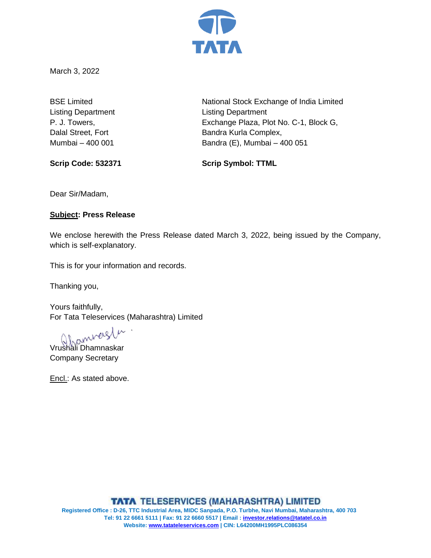

March 3, 2022

Listing Department Listing Department

BSE Limited National Stock Exchange of India Limited P. J. Towers, Exchange Plaza, Plot No. C-1, Block G, Dalal Street, Fort **Bandra Kurla Complex,** Mumbai – 400 001 Bandra (E), Mumbai – 400 051

**Scrip Code: 532371 Scrip Symbol: TTML**

Dear Sir/Madam,

## **Subject: Press Release**

We enclose herewith the Press Release dated March 3, 2022, being issued by the Company, which is self-explanatory.

This is for your information and records.

Thanking you,

Yours faithfully, For Tata Teleservices (Maharashtra) Limited

Vrushali Dhamnaskar

Company Secretary

Encl.: As stated above.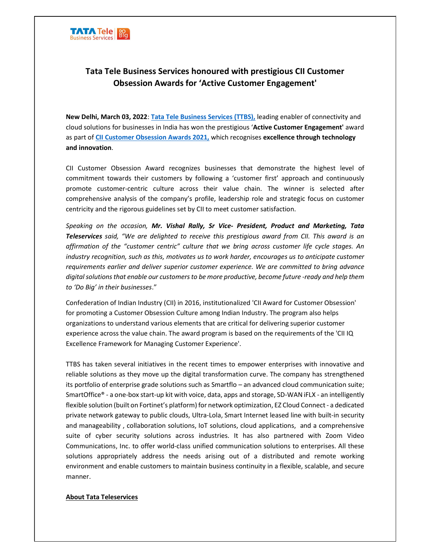

## Tata Tele Business Services honoured with prestigious CII Customer Obsession Awards for 'Active Customer Engagement'

New Delhi, March 03, 2022: Tata Tele Business Services (TTBS), leading enabler of connectivity and cloud solutions for businesses in India has won the prestigious 'Active Customer Engagement' award as part of CII Customer Obsession Awards 2021, which recognises excellence through technology and innovation.

CII Customer Obsession Award recognizes businesses that demonstrate the highest level of commitment towards their customers by following a 'customer first' approach and continuously promote customer-centric culture across their value chain. The winner is selected after comprehensive analysis of the company's profile, leadership role and strategic focus on customer centricity and the rigorous guidelines set by CII to meet customer satisfaction.

Speaking on the occasion, Mr. Vishal Rally, Sr Vice- President, Product and Marketing, Tata Teleservices said, "We are delighted to receive this prestigious award from CII. This award is an affirmation of the "customer centric" culture that we bring across customer life cycle stages. An industry recognition, such as this, motivates us to work harder, encourages us to anticipate customer requirements earlier and deliver superior customer experience. We are committed to bring advance digital solutions that enable our customers to be more productive, become future -ready and help them to 'Do Big' in their businesses."

Confederation of Indian Industry (CII) in 2016, institutionalized 'CII Award for Customer Obsession' for promoting a Customer Obsession Culture among Indian Industry. The program also helps organizations to understand various elements that are critical for delivering superior customer experience across the value chain. The award program is based on the requirements of the 'CII IQ Excellence Framework for Managing Customer Experience'.

TTBS has taken several initiatives in the recent times to empower enterprises with innovative and reliable solutions as they move up the digital transformation curve. The company has strengthened its portfolio of enterprise grade solutions such as Smartflo – an advanced cloud communication suite; SmartOffice® - a one-box start-up kit with voice, data, apps and storage, SD-WAN iFLX - an intelligently flexible solution (built on Fortinet's platform) for network optimization, EZ Cloud Connect - a dedicated private network gateway to public clouds, Ultra-Lola, Smart Internet leased line with built-in security and manageability , collaboration solutions, IoT solutions, cloud applications, and a comprehensive suite of cyber security solutions across industries. It has also partnered with Zoom Video Communications, Inc. to offer world-class unified communication solutions to enterprises. All these solutions appropriately address the needs arising out of a distributed and remote working environment and enable customers to maintain business continuity in a flexible, scalable, and secure manner.

## About Tata Teleservices